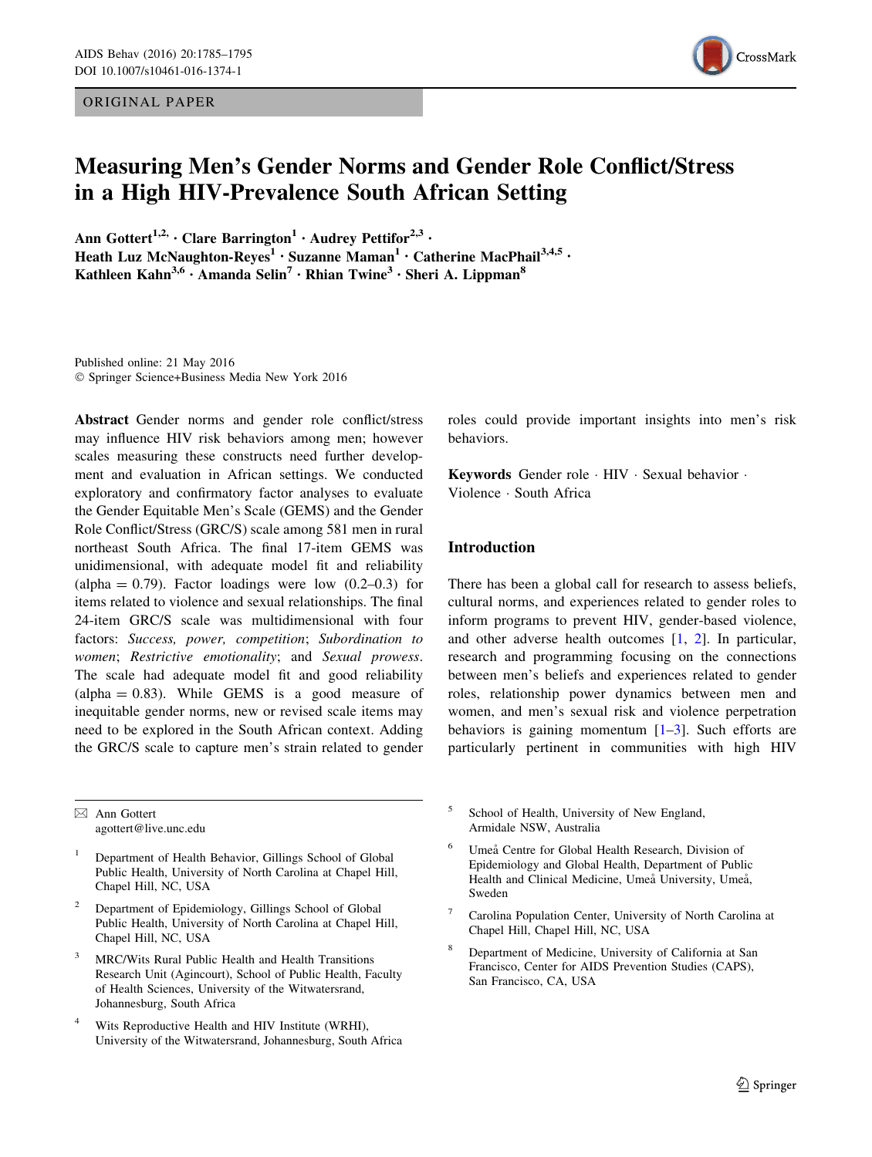ORIGINAL PAPER



# Measuring Men's Gender Norms and Gender Role Conflict/Stress in a High HIV-Prevalence South African Setting

Ann Gottert<sup>1,2,</sup> • Clare Barrington<sup>1</sup> • Audrey Pettifor<sup>2,3</sup> • Heath Luz McNaughton-Reyes<sup>1</sup> • Suzanne Maman<sup>1</sup> • Catherine MacPhail<sup>3,4,5</sup> • Kathleen Kahn<sup>3,6</sup> · Amanda Selin<sup>7</sup> · Rhian Twine<sup>3</sup> · Sheri A. Lippman<sup>8</sup>

Published online: 21 May 2016 - Springer Science+Business Media New York 2016

Abstract Gender norms and gender role conflict/stress may influence HIV risk behaviors among men; however scales measuring these constructs need further development and evaluation in African settings. We conducted exploratory and confirmatory factor analyses to evaluate the Gender Equitable Men's Scale (GEMS) and the Gender Role Conflict/Stress (GRC/S) scale among 581 men in rural northeast South Africa. The final 17-item GEMS was unidimensional, with adequate model fit and reliability  $\alpha$  (alpha = 0.79). Factor loadings were low  $(0.2-0.3)$  for items related to violence and sexual relationships. The final 24-item GRC/S scale was multidimensional with four factors: Success, power, competition; Subordination to women; Restrictive emotionality; and Sexual prowess. The scale had adequate model fit and good reliability  $\alpha$  (alpha = 0.83). While GEMS is a good measure of inequitable gender norms, new or revised scale items may need to be explored in the South African context. Adding the GRC/S scale to capture men's strain related to gender

roles could provide important insights into men's risk behaviors.

Keywords Gender role - HIV - Sexual behavior - Violence - South Africa

### Introduction

There has been a global call for research to assess beliefs, cultural norms, and experiences related to gender roles to inform programs to prevent HIV, gender-based violence, and other adverse health outcomes [\[1](#page-9-0), [2](#page-9-0)]. In particular, research and programming focusing on the connections between men's beliefs and experiences related to gender roles, relationship power dynamics between men and women, and men's sexual risk and violence perpetration behaviors is gaining momentum  $[1-3]$ . Such efforts are particularly pertinent in communities with high HIV

 $\boxtimes$  Ann Gottert agottert@live.unc.edu

- <sup>1</sup> Department of Health Behavior, Gillings School of Global Public Health, University of North Carolina at Chapel Hill, Chapel Hill, NC, USA
- <sup>2</sup> Department of Epidemiology, Gillings School of Global Public Health, University of North Carolina at Chapel Hill, Chapel Hill, NC, USA
- <sup>3</sup> MRC/Wits Rural Public Health and Health Transitions Research Unit (Agincourt), School of Public Health, Faculty of Health Sciences, University of the Witwatersrand, Johannesburg, South Africa
- Wits Reproductive Health and HIV Institute (WRHI), University of the Witwatersrand, Johannesburg, South Africa
- School of Health, University of New England, Armidale NSW, Australia
- Umeå Centre for Global Health Research, Division of Epidemiology and Global Health, Department of Public Health and Clinical Medicine, Umeå University, Umeå, Sweden
- <sup>7</sup> Carolina Population Center, University of North Carolina at Chapel Hill, Chapel Hill, NC, USA
- Department of Medicine, University of California at San Francisco, Center for AIDS Prevention Studies (CAPS), San Francisco, CA, USA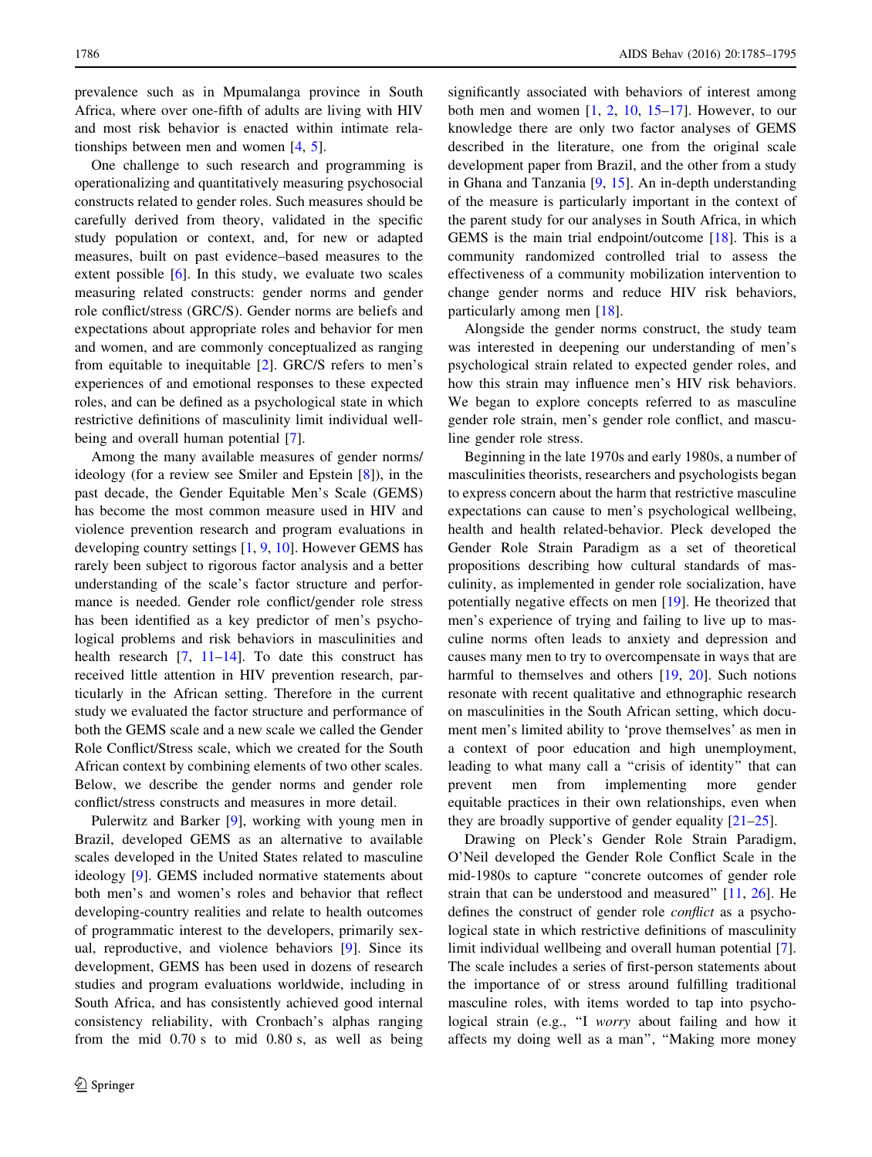prevalence such as in Mpumalanga province in South Africa, where over one-fifth of adults are living with HIV and most risk behavior is enacted within intimate relationships between men and women [[4,](#page-9-0) [5](#page-9-0)].

One challenge to such research and programming is operationalizing and quantitatively measuring psychosocial constructs related to gender roles. Such measures should be carefully derived from theory, validated in the specific study population or context, and, for new or adapted measures, built on past evidence–based measures to the extent possible  $[6]$  $[6]$ . In this study, we evaluate two scales measuring related constructs: gender norms and gender role conflict/stress (GRC/S). Gender norms are beliefs and expectations about appropriate roles and behavior for men and women, and are commonly conceptualized as ranging from equitable to inequitable [[2\]](#page-9-0). GRC/S refers to men's experiences of and emotional responses to these expected roles, and can be defined as a psychological state in which restrictive definitions of masculinity limit individual wellbeing and overall human potential [[7\]](#page-9-0).

Among the many available measures of gender norms/ ideology (for a review see Smiler and Epstein [[8\]](#page-9-0)), in the past decade, the Gender Equitable Men's Scale (GEMS) has become the most common measure used in HIV and violence prevention research and program evaluations in developing country settings [[1,](#page-9-0) [9,](#page-9-0) [10\]](#page-9-0). However GEMS has rarely been subject to rigorous factor analysis and a better understanding of the scale's factor structure and performance is needed. Gender role conflict/gender role stress has been identified as a key predictor of men's psychological problems and risk behaviors in masculinities and health research  $[7, 11-14]$  $[7, 11-14]$  $[7, 11-14]$  $[7, 11-14]$  $[7, 11-14]$ . To date this construct has received little attention in HIV prevention research, particularly in the African setting. Therefore in the current study we evaluated the factor structure and performance of both the GEMS scale and a new scale we called the Gender Role Conflict/Stress scale, which we created for the South African context by combining elements of two other scales. Below, we describe the gender norms and gender role conflict/stress constructs and measures in more detail.

Pulerwitz and Barker [[9\]](#page-9-0), working with young men in Brazil, developed GEMS as an alternative to available scales developed in the United States related to masculine ideology [[9\]](#page-9-0). GEMS included normative statements about both men's and women's roles and behavior that reflect developing-country realities and relate to health outcomes of programmatic interest to the developers, primarily sexual, reproductive, and violence behaviors [\[9](#page-9-0)]. Since its development, GEMS has been used in dozens of research studies and program evaluations worldwide, including in South Africa, and has consistently achieved good internal consistency reliability, with Cronbach's alphas ranging from the mid 0.70 s to mid 0.80 s, as well as being significantly associated with behaviors of interest among both men and women  $[1, 2, 10, 15-17]$  $[1, 2, 10, 15-17]$  $[1, 2, 10, 15-17]$  $[1, 2, 10, 15-17]$  $[1, 2, 10, 15-17]$  $[1, 2, 10, 15-17]$  $[1, 2, 10, 15-17]$  $[1, 2, 10, 15-17]$  $[1, 2, 10, 15-17]$ . However, to our knowledge there are only two factor analyses of GEMS described in the literature, one from the original scale development paper from Brazil, and the other from a study in Ghana and Tanzania [[9,](#page-9-0) [15](#page-10-0)]. An in-depth understanding of the measure is particularly important in the context of the parent study for our analyses in South Africa, in which GEMS is the main trial endpoint/outcome [[18\]](#page-10-0). This is a community randomized controlled trial to assess the effectiveness of a community mobilization intervention to change gender norms and reduce HIV risk behaviors, particularly among men [\[18](#page-10-0)].

Alongside the gender norms construct, the study team was interested in deepening our understanding of men's psychological strain related to expected gender roles, and how this strain may influence men's HIV risk behaviors. We began to explore concepts referred to as masculine gender role strain, men's gender role conflict, and masculine gender role stress.

Beginning in the late 1970s and early 1980s, a number of masculinities theorists, researchers and psychologists began to express concern about the harm that restrictive masculine expectations can cause to men's psychological wellbeing, health and health related-behavior. Pleck developed the Gender Role Strain Paradigm as a set of theoretical propositions describing how cultural standards of masculinity, as implemented in gender role socialization, have potentially negative effects on men [\[19](#page-10-0)]. He theorized that men's experience of trying and failing to live up to masculine norms often leads to anxiety and depression and causes many men to try to overcompensate in ways that are harmful to themselves and others [[19,](#page-10-0) [20](#page-10-0)]. Such notions resonate with recent qualitative and ethnographic research on masculinities in the South African setting, which document men's limited ability to 'prove themselves' as men in a context of poor education and high unemployment, leading to what many call a ''crisis of identity'' that can prevent men from implementing more gender equitable practices in their own relationships, even when they are broadly supportive of gender equality  $[21-25]$ .

Drawing on Pleck's Gender Role Strain Paradigm, O'Neil developed the Gender Role Conflict Scale in the mid-1980s to capture ''concrete outcomes of gender role strain that can be understood and measured'' [\[11](#page-9-0), [26](#page-10-0)]. He defines the construct of gender role conflict as a psychological state in which restrictive definitions of masculinity limit individual wellbeing and overall human potential [\[7](#page-9-0)]. The scale includes a series of first-person statements about the importance of or stress around fulfilling traditional masculine roles, with items worded to tap into psychological strain (e.g., "I *worry* about failing and how it affects my doing well as a man'', ''Making more money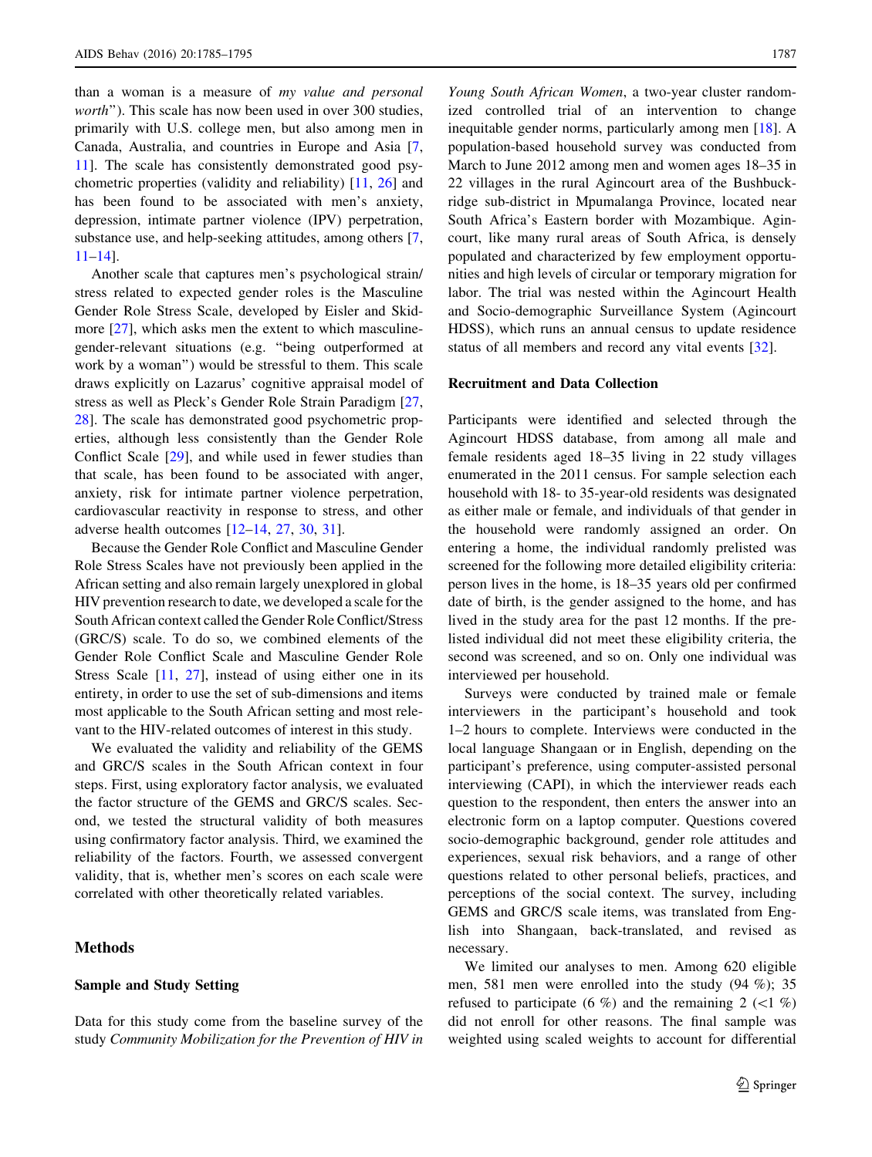than a woman is a measure of my value and personal worth"). This scale has now been used in over 300 studies, primarily with U.S. college men, but also among men in Canada, Australia, and countries in Europe and Asia [[7,](#page-9-0) [11](#page-9-0)]. The scale has consistently demonstrated good psychometric properties (validity and reliability) [\[11](#page-9-0), [26\]](#page-10-0) and has been found to be associated with men's anxiety, depression, intimate partner violence (IPV) perpetration, substance use, and help-seeking attitudes, among others [[7,](#page-9-0) [11](#page-9-0)–[14\]](#page-10-0).

Another scale that captures men's psychological strain/ stress related to expected gender roles is the Masculine Gender Role Stress Scale, developed by Eisler and Skid-more [[27\]](#page-10-0), which asks men the extent to which masculinegender-relevant situations (e.g. ''being outperformed at work by a woman'') would be stressful to them. This scale draws explicitly on Lazarus' cognitive appraisal model of stress as well as Pleck's Gender Role Strain Paradigm [[27,](#page-10-0) [28](#page-10-0)]. The scale has demonstrated good psychometric properties, although less consistently than the Gender Role Conflict Scale [[29\]](#page-10-0), and while used in fewer studies than that scale, has been found to be associated with anger, anxiety, risk for intimate partner violence perpetration, cardiovascular reactivity in response to stress, and other adverse health outcomes [[12–](#page-9-0)[14,](#page-10-0) [27,](#page-10-0) [30](#page-10-0), [31](#page-10-0)].

Because the Gender Role Conflict and Masculine Gender Role Stress Scales have not previously been applied in the African setting and also remain largely unexplored in global HIV prevention research to date, we developed a scale for the South African context called the Gender Role Conflict/Stress (GRC/S) scale. To do so, we combined elements of the Gender Role Conflict Scale and Masculine Gender Role Stress Scale [\[11,](#page-9-0) [27\]](#page-10-0), instead of using either one in its entirety, in order to use the set of sub-dimensions and items most applicable to the South African setting and most relevant to the HIV-related outcomes of interest in this study.

We evaluated the validity and reliability of the GEMS and GRC/S scales in the South African context in four steps. First, using exploratory factor analysis, we evaluated the factor structure of the GEMS and GRC/S scales. Second, we tested the structural validity of both measures using confirmatory factor analysis. Third, we examined the reliability of the factors. Fourth, we assessed convergent validity, that is, whether men's scores on each scale were correlated with other theoretically related variables.

### Methods

### Sample and Study Setting

Data for this study come from the baseline survey of the study Community Mobilization for the Prevention of HIV in

Young South African Women, a two-year cluster randomized controlled trial of an intervention to change inequitable gender norms, particularly among men [\[18](#page-10-0)]. A population-based household survey was conducted from March to June 2012 among men and women ages 18–35 in 22 villages in the rural Agincourt area of the Bushbuckridge sub-district in Mpumalanga Province, located near South Africa's Eastern border with Mozambique. Agincourt, like many rural areas of South Africa, is densely populated and characterized by few employment opportunities and high levels of circular or temporary migration for labor. The trial was nested within the Agincourt Health and Socio-demographic Surveillance System (Agincourt HDSS), which runs an annual census to update residence status of all members and record any vital events [\[32](#page-10-0)].

### Recruitment and Data Collection

Participants were identified and selected through the Agincourt HDSS database, from among all male and female residents aged 18–35 living in 22 study villages enumerated in the 2011 census. For sample selection each household with 18- to 35-year-old residents was designated as either male or female, and individuals of that gender in the household were randomly assigned an order. On entering a home, the individual randomly prelisted was screened for the following more detailed eligibility criteria: person lives in the home, is 18–35 years old per confirmed date of birth, is the gender assigned to the home, and has lived in the study area for the past 12 months. If the prelisted individual did not meet these eligibility criteria, the second was screened, and so on. Only one individual was interviewed per household.

Surveys were conducted by trained male or female interviewers in the participant's household and took 1–2 hours to complete. Interviews were conducted in the local language Shangaan or in English, depending on the participant's preference, using computer-assisted personal interviewing (CAPI), in which the interviewer reads each question to the respondent, then enters the answer into an electronic form on a laptop computer. Questions covered socio-demographic background, gender role attitudes and experiences, sexual risk behaviors, and a range of other questions related to other personal beliefs, practices, and perceptions of the social context. The survey, including GEMS and GRC/S scale items, was translated from English into Shangaan, back-translated, and revised as necessary.

We limited our analyses to men. Among 620 eligible men, 581 men were enrolled into the study (94 %); 35 refused to participate (6 %) and the remaining 2 ( $\lt 1$  %) did not enroll for other reasons. The final sample was weighted using scaled weights to account for differential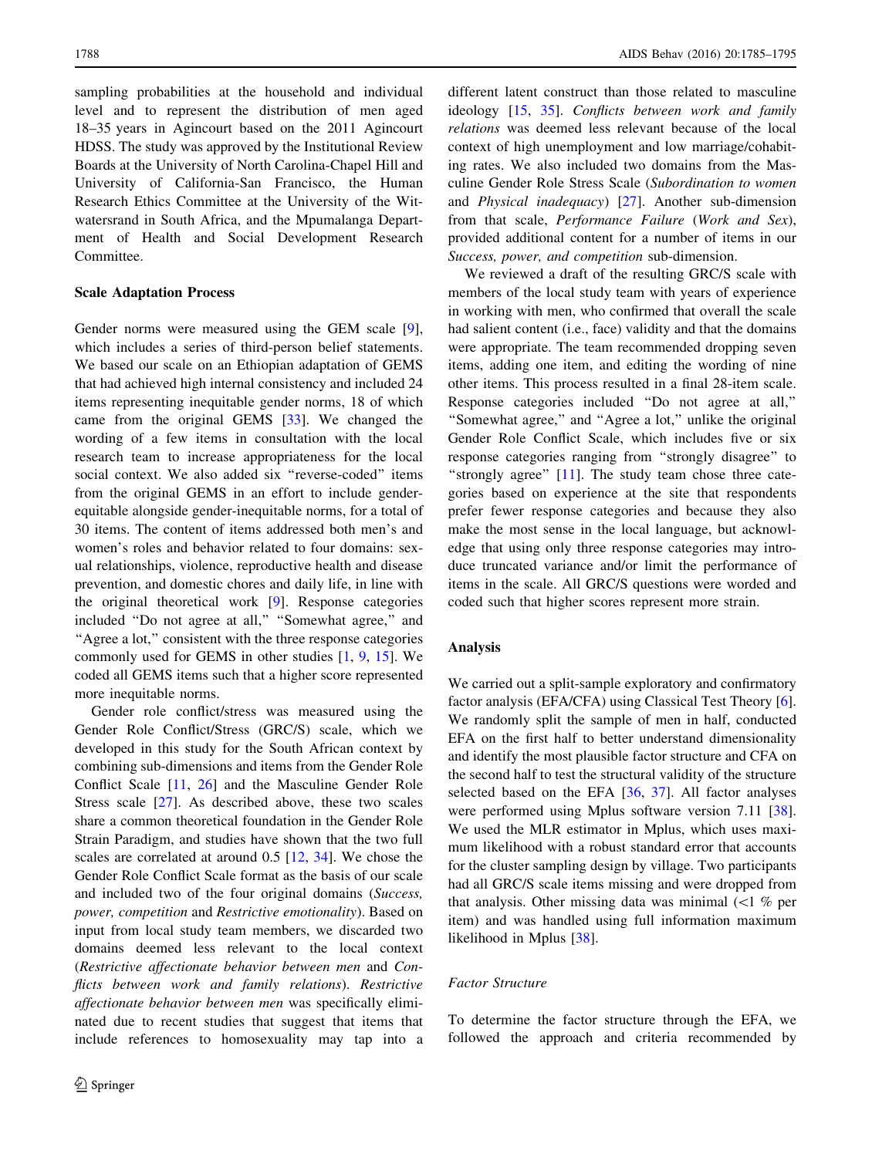sampling probabilities at the household and individual level and to represent the distribution of men aged 18–35 years in Agincourt based on the 2011 Agincourt HDSS. The study was approved by the Institutional Review Boards at the University of North Carolina-Chapel Hill and University of California-San Francisco, the Human Research Ethics Committee at the University of the Witwatersrand in South Africa, and the Mpumalanga Department of Health and Social Development Research Committee.

### Scale Adaptation Process

Gender norms were measured using the GEM scale [\[9](#page-9-0)], which includes a series of third-person belief statements. We based our scale on an Ethiopian adaptation of GEMS that had achieved high internal consistency and included 24 items representing inequitable gender norms, 18 of which came from the original GEMS [[33\]](#page-10-0). We changed the wording of a few items in consultation with the local research team to increase appropriateness for the local social context. We also added six ''reverse-coded'' items from the original GEMS in an effort to include genderequitable alongside gender-inequitable norms, for a total of 30 items. The content of items addressed both men's and women's roles and behavior related to four domains: sexual relationships, violence, reproductive health and disease prevention, and domestic chores and daily life, in line with the original theoretical work [[9\]](#page-9-0). Response categories included ''Do not agree at all,'' ''Somewhat agree,'' and "Agree a lot," consistent with the three response categories commonly used for GEMS in other studies [\[1](#page-9-0), [9](#page-9-0), [15](#page-10-0)]. We coded all GEMS items such that a higher score represented more inequitable norms.

Gender role conflict/stress was measured using the Gender Role Conflict/Stress (GRC/S) scale, which we developed in this study for the South African context by combining sub-dimensions and items from the Gender Role Conflict Scale [[11,](#page-9-0) [26](#page-10-0)] and the Masculine Gender Role Stress scale [\[27](#page-10-0)]. As described above, these two scales share a common theoretical foundation in the Gender Role Strain Paradigm, and studies have shown that the two full scales are correlated at around 0.5 [\[12](#page-9-0), [34](#page-10-0)]. We chose the Gender Role Conflict Scale format as the basis of our scale and included two of the four original domains (Success, power, competition and Restrictive emotionality). Based on input from local study team members, we discarded two domains deemed less relevant to the local context (Restrictive affectionate behavior between men and Conflicts between work and family relations). Restrictive affectionate behavior between men was specifically eliminated due to recent studies that suggest that items that include references to homosexuality may tap into a different latent construct than those related to masculine ideology [[15,](#page-10-0) [35](#page-10-0)]. Conflicts between work and family relations was deemed less relevant because of the local context of high unemployment and low marriage/cohabiting rates. We also included two domains from the Masculine Gender Role Stress Scale (Subordination to women and Physical inadequacy) [\[27](#page-10-0)]. Another sub-dimension from that scale, Performance Failure (Work and Sex), provided additional content for a number of items in our Success, power, and competition sub-dimension.

We reviewed a draft of the resulting GRC/S scale with members of the local study team with years of experience in working with men, who confirmed that overall the scale had salient content (i.e., face) validity and that the domains were appropriate. The team recommended dropping seven items, adding one item, and editing the wording of nine other items. This process resulted in a final 28-item scale. Response categories included ''Do not agree at all,'' ''Somewhat agree,'' and ''Agree a lot,'' unlike the original Gender Role Conflict Scale, which includes five or six response categories ranging from ''strongly disagree'' to "strongly agree"  $[11]$  $[11]$ . The study team chose three categories based on experience at the site that respondents prefer fewer response categories and because they also make the most sense in the local language, but acknowledge that using only three response categories may introduce truncated variance and/or limit the performance of items in the scale. All GRC/S questions were worded and coded such that higher scores represent more strain.

#### Analysis

We carried out a split-sample exploratory and confirmatory factor analysis (EFA/CFA) using Classical Test Theory [\[6](#page-9-0)]. We randomly split the sample of men in half, conducted EFA on the first half to better understand dimensionality and identify the most plausible factor structure and CFA on the second half to test the structural validity of the structure selected based on the EFA [\[36](#page-10-0), [37\]](#page-10-0). All factor analyses were performed using Mplus software version 7.11 [\[38](#page-10-0)]. We used the MLR estimator in Mplus, which uses maximum likelihood with a robust standard error that accounts for the cluster sampling design by village. Two participants had all GRC/S scale items missing and were dropped from that analysis. Other missing data was minimal  $\ll 1$  % per item) and was handled using full information maximum likelihood in Mplus [\[38](#page-10-0)].

### Factor Structure

To determine the factor structure through the EFA, we followed the approach and criteria recommended by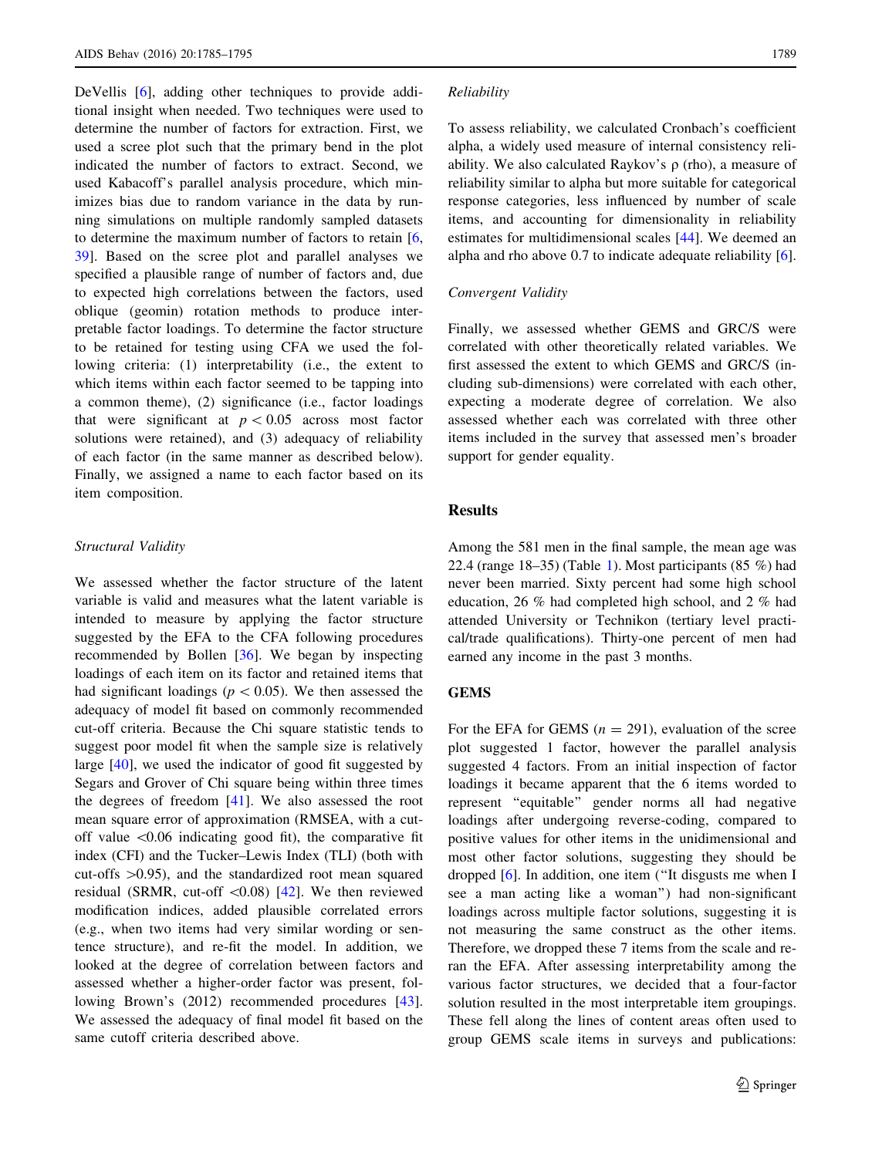DeVellis [\[6](#page-9-0)], adding other techniques to provide additional insight when needed. Two techniques were used to determine the number of factors for extraction. First, we used a scree plot such that the primary bend in the plot indicated the number of factors to extract. Second, we used Kabacoff's parallel analysis procedure, which minimizes bias due to random variance in the data by running simulations on multiple randomly sampled datasets to determine the maximum number of factors to retain [[6,](#page-9-0) [39](#page-10-0)]. Based on the scree plot and parallel analyses we specified a plausible range of number of factors and, due to expected high correlations between the factors, used oblique (geomin) rotation methods to produce interpretable factor loadings. To determine the factor structure to be retained for testing using CFA we used the following criteria: (1) interpretability (i.e., the extent to which items within each factor seemed to be tapping into a common theme), (2) significance (i.e., factor loadings that were significant at  $p < 0.05$  across most factor solutions were retained), and (3) adequacy of reliability of each factor (in the same manner as described below). Finally, we assigned a name to each factor based on its item composition.

#### Structural Validity

We assessed whether the factor structure of the latent variable is valid and measures what the latent variable is intended to measure by applying the factor structure suggested by the EFA to the CFA following procedures recommended by Bollen [\[36](#page-10-0)]. We began by inspecting loadings of each item on its factor and retained items that had significant loadings ( $p < 0.05$ ). We then assessed the adequacy of model fit based on commonly recommended cut-off criteria. Because the Chi square statistic tends to suggest poor model fit when the sample size is relatively large [[40\]](#page-10-0), we used the indicator of good fit suggested by Segars and Grover of Chi square being within three times the degrees of freedom [[41\]](#page-10-0). We also assessed the root mean square error of approximation (RMSEA, with a cutoff value  $\leq 0.06$  indicating good fit), the comparative fit index (CFI) and the Tucker–Lewis Index (TLI) (both with cut-offs  $>0.95$ ), and the standardized root mean squared residual (SRMR, cut-off  $\langle 0.08 \rangle$  [\[42](#page-10-0)]. We then reviewed modification indices, added plausible correlated errors (e.g., when two items had very similar wording or sentence structure), and re-fit the model. In addition, we looked at the degree of correlation between factors and assessed whether a higher-order factor was present, fol-lowing Brown's (2012) recommended procedures [\[43](#page-10-0)]. We assessed the adequacy of final model fit based on the same cutoff criteria described above.

#### Reliability

To assess reliability, we calculated Cronbach's coefficient alpha, a widely used measure of internal consistency reliability. We also calculated Raykov's  $\rho$  (rho), a measure of reliability similar to alpha but more suitable for categorical response categories, less influenced by number of scale items, and accounting for dimensionality in reliability estimates for multidimensional scales [[44\]](#page-10-0). We deemed an alpha and rho above 0.7 to indicate adequate reliability [\[6](#page-9-0)].

### Convergent Validity

Finally, we assessed whether GEMS and GRC/S were correlated with other theoretically related variables. We first assessed the extent to which GEMS and GRC/S (including sub-dimensions) were correlated with each other, expecting a moderate degree of correlation. We also assessed whether each was correlated with three other items included in the survey that assessed men's broader support for gender equality.

## Results

Among the 581 men in the final sample, the mean age was 22.4 (range 18–35) (Table [1](#page-5-0)). Most participants (85 %) had never been married. Sixty percent had some high school education, 26 % had completed high school, and 2 % had attended University or Technikon (tertiary level practical/trade qualifications). Thirty-one percent of men had earned any income in the past 3 months.

### **GEMS**

For the EFA for GEMS ( $n = 291$ ), evaluation of the scree plot suggested 1 factor, however the parallel analysis suggested 4 factors. From an initial inspection of factor loadings it became apparent that the 6 items worded to represent ''equitable'' gender norms all had negative loadings after undergoing reverse-coding, compared to positive values for other items in the unidimensional and most other factor solutions, suggesting they should be dropped [\[6](#page-9-0)]. In addition, one item (''It disgusts me when I see a man acting like a woman'') had non-significant loadings across multiple factor solutions, suggesting it is not measuring the same construct as the other items. Therefore, we dropped these 7 items from the scale and reran the EFA. After assessing interpretability among the various factor structures, we decided that a four-factor solution resulted in the most interpretable item groupings. These fell along the lines of content areas often used to group GEMS scale items in surveys and publications: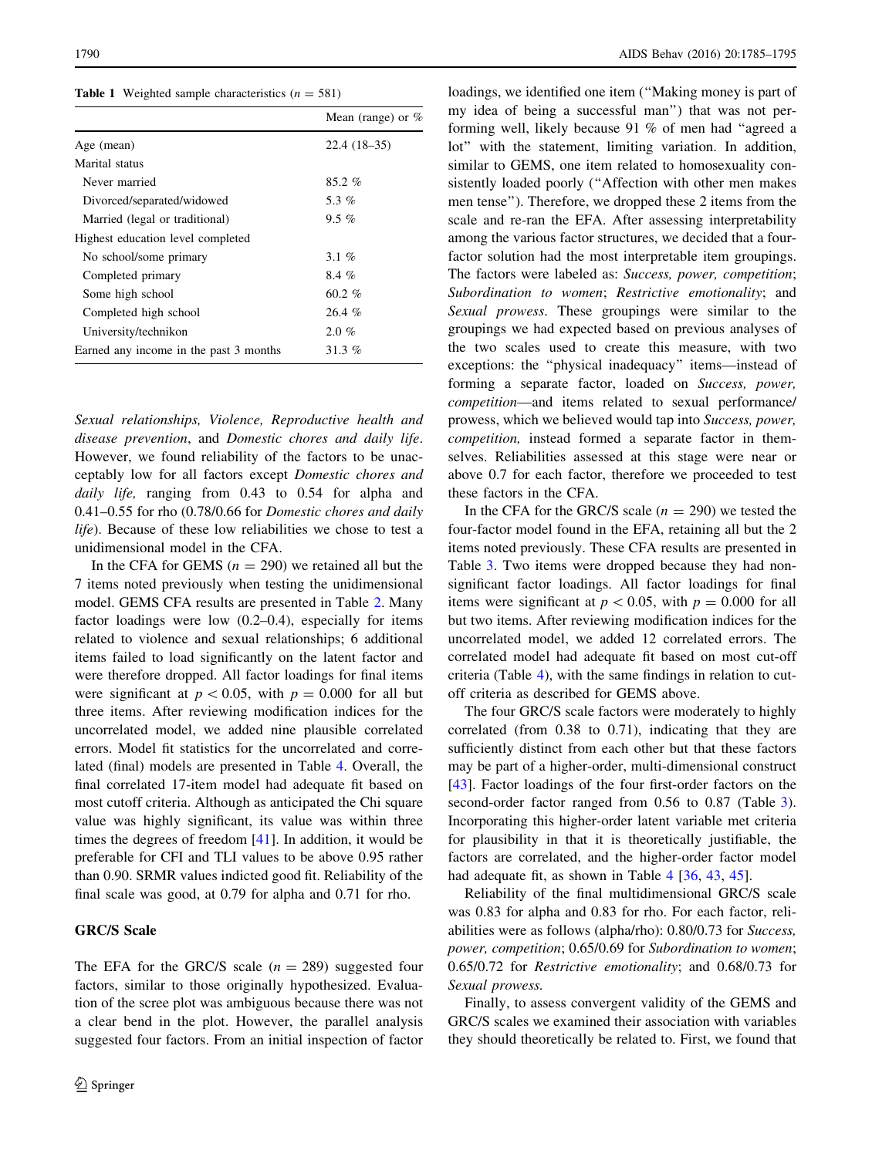<span id="page-5-0"></span>**Table 1** Weighted sample characteristics  $(n = 581)$ 

|                                        | Mean (range) or $%$ |
|----------------------------------------|---------------------|
| Age (mean)                             | $22.4(18-35)$       |
| Marital status                         |                     |
| Never married                          | 85.2%               |
| Divorced/separated/widowed             | 5.3%                |
| Married (legal or traditional)         | $9.5\%$             |
| Highest education level completed      |                     |
| No school/some primary                 | 3.1 \%              |
| Completed primary                      | $8.4\%$             |
| Some high school                       | 60.2 $%$            |
| Completed high school                  | 26.4%               |
| University/technikon                   | $2.0 \%$            |
| Earned any income in the past 3 months | 31.3 $%$            |

Sexual relationships, Violence, Reproductive health and disease prevention, and Domestic chores and daily life. However, we found reliability of the factors to be unacceptably low for all factors except Domestic chores and daily life, ranging from 0.43 to 0.54 for alpha and 0.41–0.55 for rho (0.78/0.66 for Domestic chores and daily life). Because of these low reliabilities we chose to test a unidimensional model in the CFA.

In the CFA for GEMS ( $n = 290$ ) we retained all but the 7 items noted previously when testing the unidimensional model. GEMS CFA results are presented in Table [2.](#page-6-0) Many factor loadings were low (0.2–0.4), especially for items related to violence and sexual relationships; 6 additional items failed to load significantly on the latent factor and were therefore dropped. All factor loadings for final items were significant at  $p < 0.05$ , with  $p = 0.000$  for all but three items. After reviewing modification indices for the uncorrelated model, we added nine plausible correlated errors. Model fit statistics for the uncorrelated and correlated (final) models are presented in Table [4.](#page-8-0) Overall, the final correlated 17-item model had adequate fit based on most cutoff criteria. Although as anticipated the Chi square value was highly significant, its value was within three times the degrees of freedom [\[41](#page-10-0)]. In addition, it would be preferable for CFI and TLI values to be above 0.95 rather than 0.90. SRMR values indicted good fit. Reliability of the final scale was good, at 0.79 for alpha and 0.71 for rho.

### GRC/S Scale

The EFA for the GRC/S scale  $(n = 289)$  suggested four factors, similar to those originally hypothesized. Evaluation of the scree plot was ambiguous because there was not a clear bend in the plot. However, the parallel analysis suggested four factors. From an initial inspection of factor

loadings, we identified one item (''Making money is part of my idea of being a successful man'') that was not performing well, likely because 91 % of men had ''agreed a lot'' with the statement, limiting variation. In addition, similar to GEMS, one item related to homosexuality consistently loaded poorly (''Affection with other men makes men tense''). Therefore, we dropped these 2 items from the scale and re-ran the EFA. After assessing interpretability among the various factor structures, we decided that a fourfactor solution had the most interpretable item groupings. The factors were labeled as: Success, power, competition; Subordination to women; Restrictive emotionality; and Sexual prowess. These groupings were similar to the groupings we had expected based on previous analyses of the two scales used to create this measure, with two exceptions: the ''physical inadequacy'' items—instead of forming a separate factor, loaded on Success, power, competition—and items related to sexual performance/ prowess, which we believed would tap into Success, power, competition, instead formed a separate factor in themselves. Reliabilities assessed at this stage were near or above 0.7 for each factor, therefore we proceeded to test these factors in the CFA.

In the CFA for the GRC/S scale  $(n = 290)$  we tested the four-factor model found in the EFA, retaining all but the 2 items noted previously. These CFA results are presented in Table [3](#page-7-0). Two items were dropped because they had nonsignificant factor loadings. All factor loadings for final items were significant at  $p \lt 0.05$ , with  $p = 0.000$  for all but two items. After reviewing modification indices for the uncorrelated model, we added 12 correlated errors. The correlated model had adequate fit based on most cut-off criteria (Table [4\)](#page-8-0), with the same findings in relation to cutoff criteria as described for GEMS above.

The four GRC/S scale factors were moderately to highly correlated (from 0.38 to 0.71), indicating that they are sufficiently distinct from each other but that these factors may be part of a higher-order, multi-dimensional construct [\[43](#page-10-0)]. Factor loadings of the four first-order factors on the second-order factor ranged from 0.56 to 0.87 (Table [3](#page-7-0)). Incorporating this higher-order latent variable met criteria for plausibility in that it is theoretically justifiable, the factors are correlated, and the higher-order factor model had adequate fit, as shown in Table [4](#page-8-0) [[36,](#page-10-0) [43,](#page-10-0) [45](#page-10-0)].

Reliability of the final multidimensional GRC/S scale was 0.83 for alpha and 0.83 for rho. For each factor, reliabilities were as follows (alpha/rho): 0.80/0.73 for Success, power, competition; 0.65/0.69 for Subordination to women; 0.65/0.72 for Restrictive emotionality; and 0.68/0.73 for Sexual prowess.

Finally, to assess convergent validity of the GEMS and GRC/S scales we examined their association with variables they should theoretically be related to. First, we found that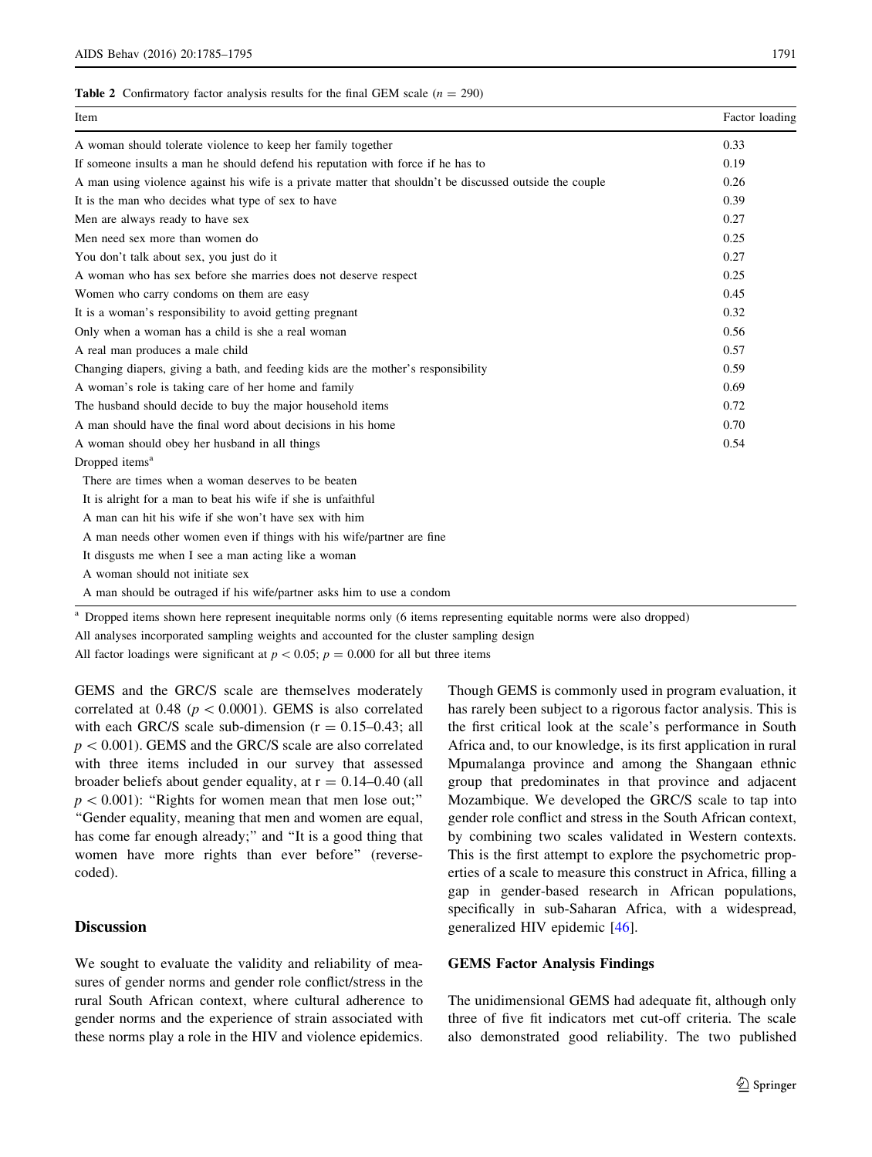#### <span id="page-6-0"></span>**Table 2** Confirmatory factor analysis results for the final GEM scale ( $n = 290$ )

| Item                                                                                                     | Factor loading |
|----------------------------------------------------------------------------------------------------------|----------------|
| A woman should tolerate violence to keep her family together                                             | 0.33           |
| If someone insults a man he should defend his reputation with force if he has to                         | 0.19           |
| A man using violence against his wife is a private matter that shouldn't be discussed outside the couple | 0.26           |
| It is the man who decides what type of sex to have                                                       | 0.39           |
| Men are always ready to have sex                                                                         | 0.27           |
| Men need sex more than women do                                                                          | 0.25           |
| You don't talk about sex, you just do it                                                                 | 0.27           |
| A woman who has sex before she marries does not deserve respect                                          | 0.25           |
| Women who carry condoms on them are easy                                                                 | 0.45           |
| It is a woman's responsibility to avoid getting pregnant                                                 | 0.32           |
| Only when a woman has a child is she a real woman                                                        | 0.56           |
| A real man produces a male child                                                                         | 0.57           |
| Changing diapers, giving a bath, and feeding kids are the mother's responsibility                        | 0.59           |
| A woman's role is taking care of her home and family                                                     | 0.69           |
| The husband should decide to buy the major household items                                               | 0.72           |
| A man should have the final word about decisions in his home                                             | 0.70           |
| A woman should obey her husband in all things                                                            | 0.54           |
| Dropped items <sup>a</sup>                                                                               |                |
| There are times when a woman deserves to be beaten                                                       |                |
| It is alright for a man to beat his wife if she is unfaithful                                            |                |
| A man can hit his wife if she won't have sex with him                                                    |                |
| A man needs other women even if things with his wife/partner are fine                                    |                |
| It disgusts me when I see a man acting like a woman                                                      |                |
| A woman should not initiate sex                                                                          |                |
| A man should be outraged if his wife/partner asks him to use a condom                                    |                |

<sup>a</sup> Dropped items shown here represent inequitable norms only (6 items representing equitable norms were also dropped)

All analyses incorporated sampling weights and accounted for the cluster sampling design

All factor loadings were significant at  $p < 0.05$ ;  $p = 0.000$  for all but three items

GEMS and the GRC/S scale are themselves moderately correlated at 0.48 ( $p < 0.0001$ ). GEMS is also correlated with each GRC/S scale sub-dimension  $(r = 0.15-0.43;$  all  $p\lt0.001$ ). GEMS and the GRC/S scale are also correlated with three items included in our survey that assessed broader beliefs about gender equality, at  $r = 0.14{\text -}0.40$  (all  $p<0.001$ : "Rights for women mean that men lose out;" ''Gender equality, meaning that men and women are equal, has come far enough already;" and "It is a good thing that women have more rights than ever before'' (reversecoded).

### **Discussion**

We sought to evaluate the validity and reliability of measures of gender norms and gender role conflict/stress in the rural South African context, where cultural adherence to gender norms and the experience of strain associated with these norms play a role in the HIV and violence epidemics.

Though GEMS is commonly used in program evaluation, it has rarely been subject to a rigorous factor analysis. This is the first critical look at the scale's performance in South Africa and, to our knowledge, is its first application in rural Mpumalanga province and among the Shangaan ethnic group that predominates in that province and adjacent Mozambique. We developed the GRC/S scale to tap into gender role conflict and stress in the South African context, by combining two scales validated in Western contexts. This is the first attempt to explore the psychometric properties of a scale to measure this construct in Africa, filling a gap in gender-based research in African populations, specifically in sub-Saharan Africa, with a widespread, generalized HIV epidemic [\[46](#page-10-0)].

### GEMS Factor Analysis Findings

The unidimensional GEMS had adequate fit, although only three of five fit indicators met cut-off criteria. The scale also demonstrated good reliability. The two published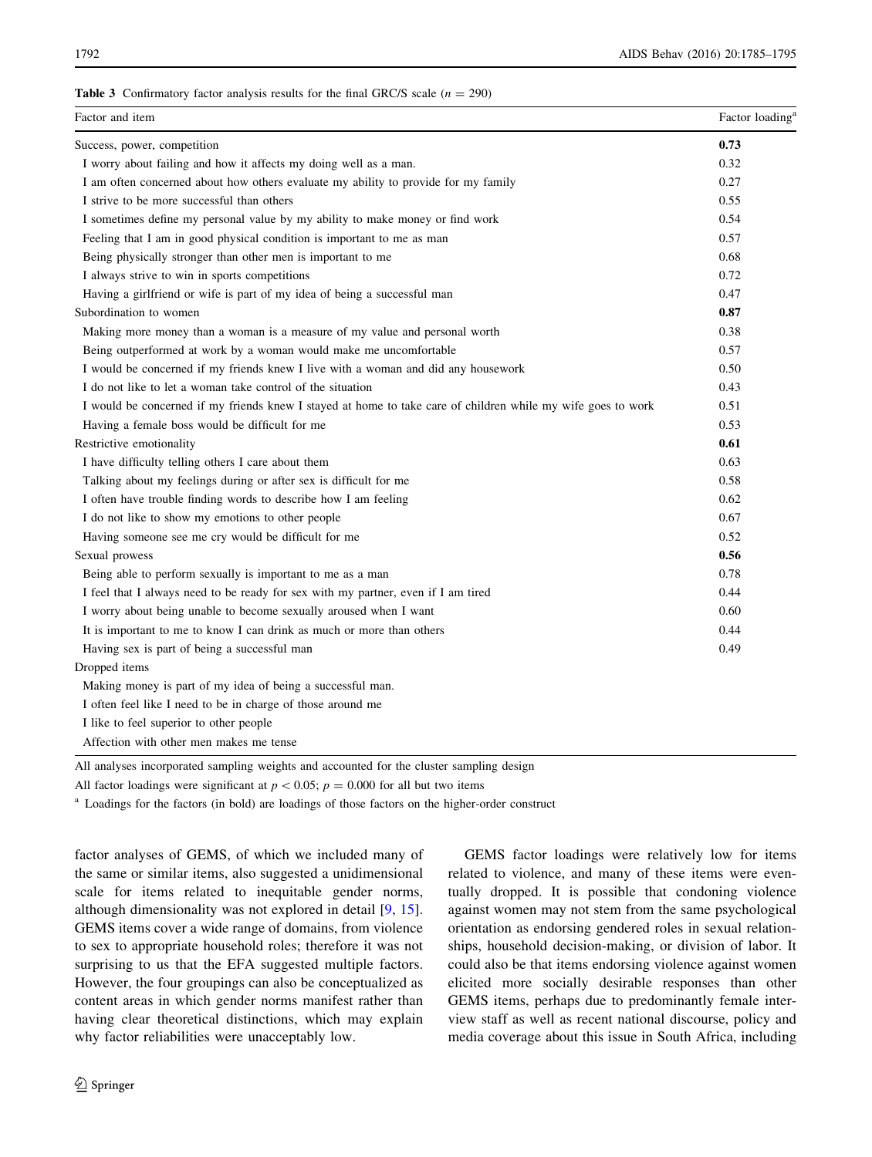#### <span id="page-7-0"></span>**Table 3** Confirmatory factor analysis results for the final GRC/S scale ( $n = 290$ )

| Factor and item                                                                                              | Factor loading <sup>®</sup> |  |  |  |  |
|--------------------------------------------------------------------------------------------------------------|-----------------------------|--|--|--|--|
| Success, power, competition                                                                                  | 0.73                        |  |  |  |  |
| I worry about failing and how it affects my doing well as a man.                                             |                             |  |  |  |  |
| I am often concerned about how others evaluate my ability to provide for my family                           | 0.27                        |  |  |  |  |
| I strive to be more successful than others                                                                   | 0.55                        |  |  |  |  |
| I sometimes define my personal value by my ability to make money or find work                                | 0.54                        |  |  |  |  |
| Feeling that I am in good physical condition is important to me as man                                       | 0.57                        |  |  |  |  |
| Being physically stronger than other men is important to me                                                  | 0.68                        |  |  |  |  |
| I always strive to win in sports competitions                                                                | 0.72                        |  |  |  |  |
| Having a girlfriend or wife is part of my idea of being a successful man                                     | 0.47                        |  |  |  |  |
| Subordination to women                                                                                       | 0.87                        |  |  |  |  |
| Making more money than a woman is a measure of my value and personal worth                                   | 0.38                        |  |  |  |  |
| Being outperformed at work by a woman would make me uncomfortable                                            | 0.57                        |  |  |  |  |
| I would be concerned if my friends knew I live with a woman and did any housework                            | 0.50                        |  |  |  |  |
| I do not like to let a woman take control of the situation                                                   | 0.43                        |  |  |  |  |
| I would be concerned if my friends knew I stayed at home to take care of children while my wife goes to work | 0.51                        |  |  |  |  |
| Having a female boss would be difficult for me                                                               | 0.53                        |  |  |  |  |
| Restrictive emotionality                                                                                     | 0.61                        |  |  |  |  |
| I have difficulty telling others I care about them                                                           | 0.63                        |  |  |  |  |
| Talking about my feelings during or after sex is difficult for me                                            | 0.58                        |  |  |  |  |
| I often have trouble finding words to describe how I am feeling                                              | 0.62                        |  |  |  |  |
| I do not like to show my emotions to other people                                                            | 0.67                        |  |  |  |  |
| Having someone see me cry would be difficult for me                                                          | 0.52                        |  |  |  |  |
| Sexual prowess                                                                                               | 0.56                        |  |  |  |  |
| Being able to perform sexually is important to me as a man                                                   | 0.78                        |  |  |  |  |
| I feel that I always need to be ready for sex with my partner, even if I am tired                            | 0.44                        |  |  |  |  |
| I worry about being unable to become sexually aroused when I want                                            | 0.60                        |  |  |  |  |
| It is important to me to know I can drink as much or more than others                                        | 0.44                        |  |  |  |  |
| Having sex is part of being a successful man                                                                 | 0.49                        |  |  |  |  |
| Dropped items                                                                                                |                             |  |  |  |  |
| Making money is part of my idea of being a successful man.                                                   |                             |  |  |  |  |
| I often feel like I need to be in charge of those around me                                                  |                             |  |  |  |  |
| I like to feel superior to other people                                                                      |                             |  |  |  |  |
| Affection with other men makes me tense                                                                      |                             |  |  |  |  |
|                                                                                                              |                             |  |  |  |  |

All analyses incorporated sampling weights and accounted for the cluster sampling design

All factor loadings were significant at  $p < 0.05$ ;  $p = 0.000$  for all but two items

<sup>a</sup> Loadings for the factors (in bold) are loadings of those factors on the higher-order construct

factor analyses of GEMS, of which we included many of the same or similar items, also suggested a unidimensional scale for items related to inequitable gender norms, although dimensionality was not explored in detail [[9,](#page-9-0) [15](#page-10-0)]. GEMS items cover a wide range of domains, from violence to sex to appropriate household roles; therefore it was not surprising to us that the EFA suggested multiple factors. However, the four groupings can also be conceptualized as content areas in which gender norms manifest rather than having clear theoretical distinctions, which may explain why factor reliabilities were unacceptably low.

GEMS factor loadings were relatively low for items related to violence, and many of these items were eventually dropped. It is possible that condoning violence against women may not stem from the same psychological orientation as endorsing gendered roles in sexual relationships, household decision-making, or division of labor. It could also be that items endorsing violence against women elicited more socially desirable responses than other GEMS items, perhaps due to predominantly female interview staff as well as recent national discourse, policy and media coverage about this issue in South Africa, including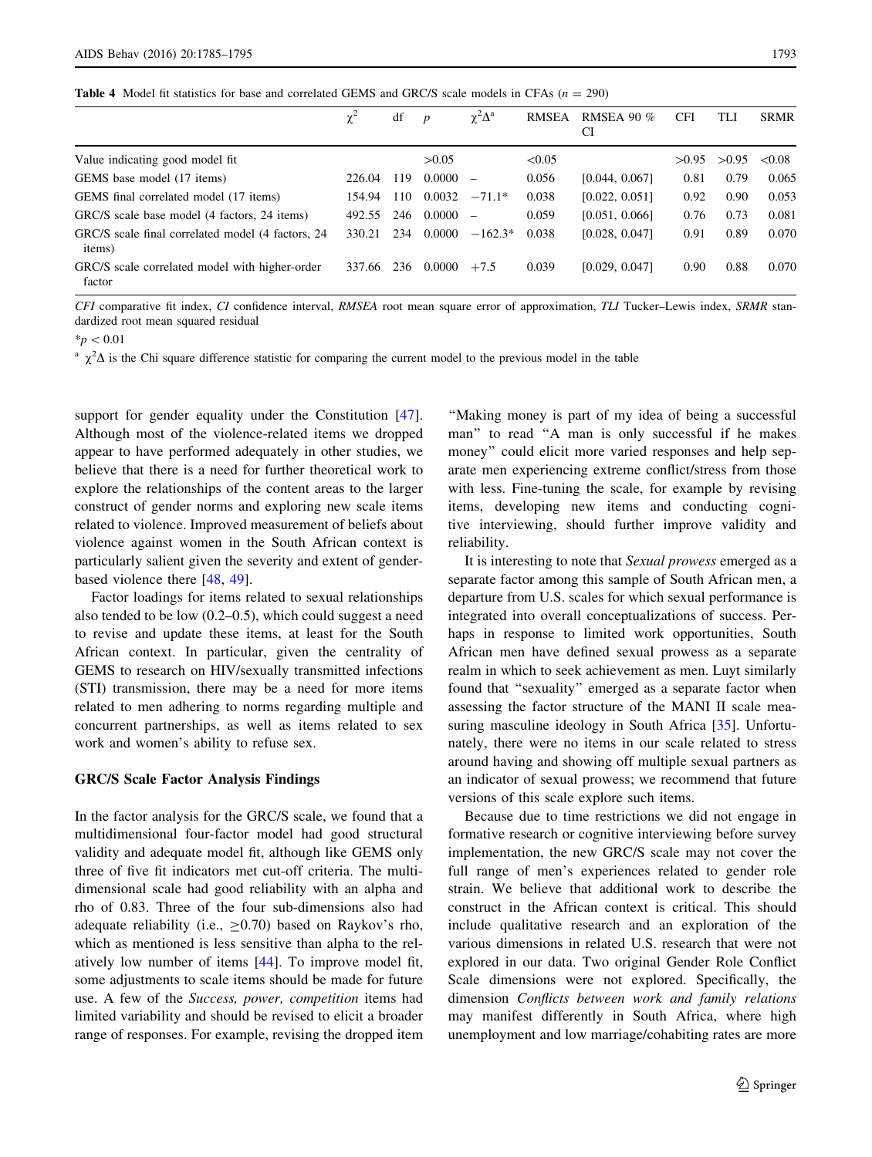<span id="page-8-0"></span>

|                                                              | $\chi^2$ | df  | $\boldsymbol{p}$ | $\chi^2 \Delta^a$        | RMSEA  | RMSEA 90 $%$<br>CI | <b>CFI</b> | TLI   | <b>SRMR</b> |
|--------------------------------------------------------------|----------|-----|------------------|--------------------------|--------|--------------------|------------|-------|-------------|
| Value indicating good model fit                              |          |     | >0.05            |                          | < 0.05 |                    | >0.95      | >0.95 | ${<}0.08$   |
| GEMS base model (17 items)                                   | 226.04   | 119 | 0.0000           | $\overline{\phantom{a}}$ | 0.056  | [0.044, 0.067]     | 0.81       | 0.79  | 0.065       |
| GEMS final correlated model (17 items)                       | 154.94   | 110 | 0.0032           | $-71.1*$                 | 0.038  | [0.022, 0.051]     | 0.92       | 0.90  | 0.053       |
| GRC/S scale base model (4 factors, 24 items)                 | 492.55   | 246 | 0.0000           | $\overline{\phantom{a}}$ | 0.059  | [0.051, 0.066]     | 0.76       | 0.73  | 0.081       |
| GRC/S scale final correlated model (4 factors, 24)<br>items) | 330.21   | 234 | 0.0000           | $-162.3*$                | 0.038  | [0.028, 0.047]     | 0.91       | 0.89  | 0.070       |
| GRC/S scale correlated model with higher-order<br>factor     | 337.66   | 236 | 0.0000           | $+7.5$                   | 0.039  | [0.029, 0.047]     | 0.90       | 0.88  | 0.070       |

CFI comparative fit index, CI confidence interval, RMSEA root mean square error of approximation, TLI Tucker–Lewis index, SRMR standardized root mean squared residual

 $*_{p}$  < 0.01

<sup>a</sup>  $\chi^2\Delta$  is the Chi square difference statistic for comparing the current model to the previous model in the table

support for gender equality under the Constitution [\[47](#page-10-0)]. Although most of the violence-related items we dropped appear to have performed adequately in other studies, we believe that there is a need for further theoretical work to explore the relationships of the content areas to the larger construct of gender norms and exploring new scale items related to violence. Improved measurement of beliefs about violence against women in the South African context is particularly salient given the severity and extent of genderbased violence there [\[48](#page-10-0), [49\]](#page-10-0).

Factor loadings for items related to sexual relationships also tended to be low (0.2–0.5), which could suggest a need to revise and update these items, at least for the South African context. In particular, given the centrality of GEMS to research on HIV/sexually transmitted infections (STI) transmission, there may be a need for more items related to men adhering to norms regarding multiple and concurrent partnerships, as well as items related to sex work and women's ability to refuse sex.

### GRC/S Scale Factor Analysis Findings

In the factor analysis for the GRC/S scale, we found that a multidimensional four-factor model had good structural validity and adequate model fit, although like GEMS only three of five fit indicators met cut-off criteria. The multidimensional scale had good reliability with an alpha and rho of 0.83. Three of the four sub-dimensions also had adequate reliability (i.e.,  $\geq$ 0.70) based on Raykov's rho, which as mentioned is less sensitive than alpha to the relatively low number of items [\[44](#page-10-0)]. To improve model fit, some adjustments to scale items should be made for future use. A few of the Success, power, competition items had limited variability and should be revised to elicit a broader range of responses. For example, revising the dropped item

''Making money is part of my idea of being a successful man'' to read ''A man is only successful if he makes money'' could elicit more varied responses and help separate men experiencing extreme conflict/stress from those with less. Fine-tuning the scale, for example by revising items, developing new items and conducting cognitive interviewing, should further improve validity and reliability.

It is interesting to note that Sexual prowess emerged as a separate factor among this sample of South African men, a departure from U.S. scales for which sexual performance is integrated into overall conceptualizations of success. Perhaps in response to limited work opportunities, South African men have defined sexual prowess as a separate realm in which to seek achievement as men. Luyt similarly found that ''sexuality'' emerged as a separate factor when assessing the factor structure of the MANI II scale measuring masculine ideology in South Africa [[35\]](#page-10-0). Unfortunately, there were no items in our scale related to stress around having and showing off multiple sexual partners as an indicator of sexual prowess; we recommend that future versions of this scale explore such items.

Because due to time restrictions we did not engage in formative research or cognitive interviewing before survey implementation, the new GRC/S scale may not cover the full range of men's experiences related to gender role strain. We believe that additional work to describe the construct in the African context is critical. This should include qualitative research and an exploration of the various dimensions in related U.S. research that were not explored in our data. Two original Gender Role Conflict Scale dimensions were not explored. Specifically, the dimension Conflicts between work and family relations may manifest differently in South Africa, where high unemployment and low marriage/cohabiting rates are more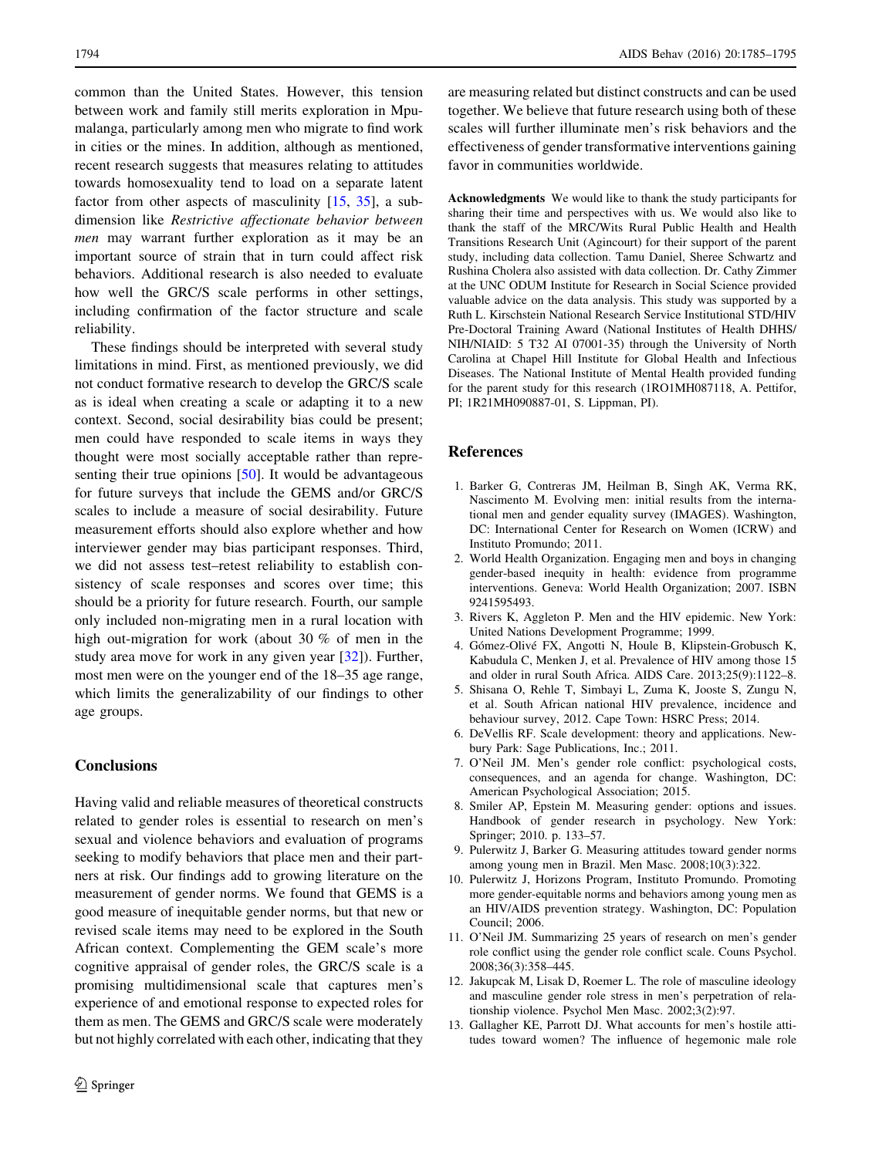<span id="page-9-0"></span>common than the United States. However, this tension between work and family still merits exploration in Mpumalanga, particularly among men who migrate to find work in cities or the mines. In addition, although as mentioned, recent research suggests that measures relating to attitudes towards homosexuality tend to load on a separate latent factor from other aspects of masculinity [[15,](#page-10-0) [35](#page-10-0)], a subdimension like Restrictive affectionate behavior between men may warrant further exploration as it may be an important source of strain that in turn could affect risk behaviors. Additional research is also needed to evaluate how well the GRC/S scale performs in other settings, including confirmation of the factor structure and scale reliability.

These findings should be interpreted with several study limitations in mind. First, as mentioned previously, we did not conduct formative research to develop the GRC/S scale as is ideal when creating a scale or adapting it to a new context. Second, social desirability bias could be present; men could have responded to scale items in ways they thought were most socially acceptable rather than representing their true opinions  $[50]$  $[50]$ . It would be advantageous for future surveys that include the GEMS and/or GRC/S scales to include a measure of social desirability. Future measurement efforts should also explore whether and how interviewer gender may bias participant responses. Third, we did not assess test–retest reliability to establish consistency of scale responses and scores over time; this should be a priority for future research. Fourth, our sample only included non-migrating men in a rural location with high out-migration for work (about 30 % of men in the study area move for work in any given year [\[32](#page-10-0)]). Further, most men were on the younger end of the 18–35 age range, which limits the generalizability of our findings to other age groups.

### **Conclusions**

Having valid and reliable measures of theoretical constructs related to gender roles is essential to research on men's sexual and violence behaviors and evaluation of programs seeking to modify behaviors that place men and their partners at risk. Our findings add to growing literature on the measurement of gender norms. We found that GEMS is a good measure of inequitable gender norms, but that new or revised scale items may need to be explored in the South African context. Complementing the GEM scale's more cognitive appraisal of gender roles, the GRC/S scale is a promising multidimensional scale that captures men's experience of and emotional response to expected roles for them as men. The GEMS and GRC/S scale were moderately but not highly correlated with each other, indicating that they

are measuring related but distinct constructs and can be used together. We believe that future research using both of these scales will further illuminate men's risk behaviors and the effectiveness of gender transformative interventions gaining favor in communities worldwide.

Acknowledgments We would like to thank the study participants for sharing their time and perspectives with us. We would also like to thank the staff of the MRC/Wits Rural Public Health and Health Transitions Research Unit (Agincourt) for their support of the parent study, including data collection. Tamu Daniel, Sheree Schwartz and Rushina Cholera also assisted with data collection. Dr. Cathy Zimmer at the UNC ODUM Institute for Research in Social Science provided valuable advice on the data analysis. This study was supported by a Ruth L. Kirschstein National Research Service Institutional STD/HIV Pre-Doctoral Training Award (National Institutes of Health DHHS/ NIH/NIAID: 5 T32 AI 07001-35) through the University of North Carolina at Chapel Hill Institute for Global Health and Infectious Diseases. The National Institute of Mental Health provided funding for the parent study for this research (1RO1MH087118, A. Pettifor, PI; 1R21MH090887-01, S. Lippman, PI).

### References

- 1. Barker G, Contreras JM, Heilman B, Singh AK, Verma RK, Nascimento M. Evolving men: initial results from the international men and gender equality survey (IMAGES). Washington, DC: International Center for Research on Women (ICRW) and Instituto Promundo; 2011.
- 2. World Health Organization. Engaging men and boys in changing gender-based inequity in health: evidence from programme interventions. Geneva: World Health Organization; 2007. ISBN 9241595493.
- 3. Rivers K, Aggleton P. Men and the HIV epidemic. New York: United Nations Development Programme; 1999.
- 4. Gómez-Olivé FX, Angotti N, Houle B, Klipstein-Grobusch K, Kabudula C, Menken J, et al. Prevalence of HIV among those 15 and older in rural South Africa. AIDS Care. 2013;25(9):1122–8.
- 5. Shisana O, Rehle T, Simbayi L, Zuma K, Jooste S, Zungu N, et al. South African national HIV prevalence, incidence and behaviour survey, 2012. Cape Town: HSRC Press; 2014.
- 6. DeVellis RF. Scale development: theory and applications. Newbury Park: Sage Publications, Inc.; 2011.
- 7. O'Neil JM. Men's gender role conflict: psychological costs, consequences, and an agenda for change. Washington, DC: American Psychological Association; 2015.
- 8. Smiler AP, Epstein M. Measuring gender: options and issues. Handbook of gender research in psychology. New York: Springer; 2010. p. 133–57.
- 9. Pulerwitz J, Barker G. Measuring attitudes toward gender norms among young men in Brazil. Men Masc. 2008;10(3):322.
- 10. Pulerwitz J, Horizons Program, Instituto Promundo. Promoting more gender-equitable norms and behaviors among young men as an HIV/AIDS prevention strategy. Washington, DC: Population Council; 2006.
- 11. O'Neil JM. Summarizing 25 years of research on men's gender role conflict using the gender role conflict scale. Couns Psychol. 2008;36(3):358–445.
- 12. Jakupcak M, Lisak D, Roemer L. The role of masculine ideology and masculine gender role stress in men's perpetration of relationship violence. Psychol Men Masc. 2002;3(2):97.
- 13. Gallagher KE, Parrott DJ. What accounts for men's hostile attitudes toward women? The influence of hegemonic male role